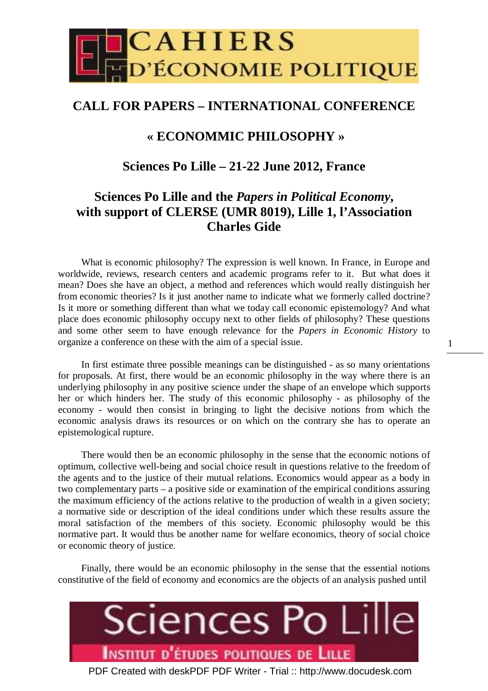

# **CALL FOR PAPERS – INTERNATIONAL CONFERENCE**

# **« ECONOMMIC PHILOSOPHY »**

## **Sciences Po Lille – 21-22 June 2012, France**

# **Sciences Po Lille and the** *Papers in Political Economy***, with support of CLERSE (UMR 8019), Lille 1, l'Association Charles Gide**

What is economic philosophy? The expression is well known. In France, in Europe and worldwide, reviews, research centers and academic programs refer to it. But what does it mean? Does she have an object, a method and references which would really distinguish her from economic theories? Is it just another name to indicate what we formerly called doctrine? Is it more or something different than what we today call economic epistemology? And what place does economic philosophy occupy next to other fields of philosophy? These questions and some other seem to have enough relevance for the *Papers in Economic History* to organize a conference on these with the aim of a special issue.

In first estimate three possible meanings can be distinguished - as so many orientations for proposals. At first, there would be an economic philosophy in the way where there is an underlying philosophy in any positive science under the shape of an envelope which supports her or which hinders her. The study of this economic philosophy - as philosophy of the economy - would then consist in bringing to light the decisive notions from which the economic analysis draws its resources or on which on the contrary she has to operate an epistemological rupture.

There would then be an economic philosophy in the sense that the economic notions of optimum, collective well-being and social choice result in questions relative to the freedom of the agents and to the justice of their mutual relations. Economics would appear as a body in two complementary parts – a positive side or examination of the empirical conditions assuring the maximum efficiency of the actions relative to the production of wealth in a given society; a normative side or description of the ideal conditions under which these results assure the moral satisfaction of the members of this society. Economic philosophy would be this normative part. It would thus be another name for welfare economics, theory of social choice or economic theory of justice.

Finally, there would be an economic philosophy in the sense that the essential notions constitutive of the field of economy and economics are the objects of an analysis pushed until

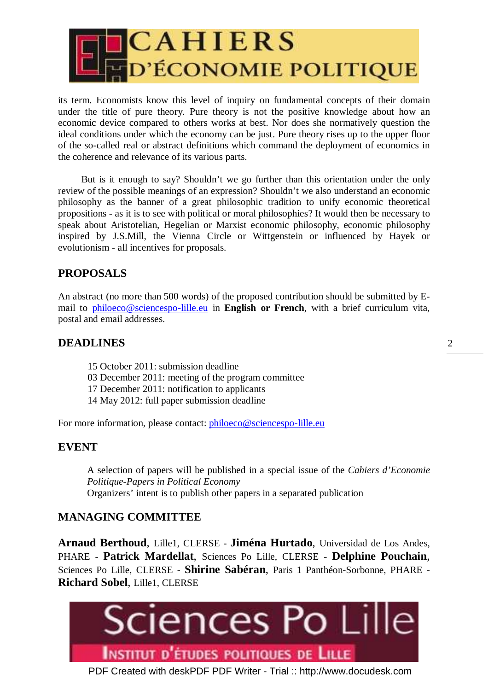

its term. Economists know this level of inquiry on fundamental concepts of their domain under the title of pure theory. Pure theory is not the positive knowledge about how an economic device compared to others works at best. Nor does she normatively question the ideal conditions under which the economy can be just. Pure theory rises up to the upper floor of the so-called real or abstract definitions which command the deployment of economics in the coherence and relevance of its various parts.

But is it enough to say? Shouldn't we go further than this orientation under the only review of the possible meanings of an expression? Shouldn't we also understand an economic philosophy as the banner of a great philosophic tradition to unify economic theoretical propositions - as it is to see with political or moral philosophies? It would then be necessary to speak about Aristotelian, Hegelian or Marxist economic philosophy, economic philosophy inspired by J.S.Mill, the Vienna Circle or Wittgenstein or influenced by Hayek or evolutionism - all incentives for proposals.

## **PROPOSALS**

An abstract (no more than 500 words) of the proposed contribution should be submitted by Email to philoeco@sciencespo-lille.eu in **English or French**, with a brief curriculum vita, postal and email addresses.

### **DEADLINES**

- 15 October 2011: submission deadline
- 03 December 2011: meeting of the program committee
- 17 December 2011: notification to applicants
- 14 May 2012: full paper submission deadline

For more information, please contact: *philoeco@sciencespo-lille.eu* 

### **EVENT**

A selection of papers will be published in a special issue of the *Cahiers d'Economie Politique-Papers in Political Economy*  Organizers' intent is to publish other papers in a separated publication

### **MANAGING COMMITTEE**

**Arnaud Berthoud**, Lille1, CLERSE - **Jiména Hurtado**, Universidad de Los Andes, PHARE - **Patrick Mardellat**, Sciences Po Lille, CLERSE - **Delphine Pouchain**, Sciences Po Lille, CLERSE - **Shirine Sabéran**, Paris 1 Panthéon-Sorbonne, PHARE - **Richard Sobel**, Lille1, CLERSE